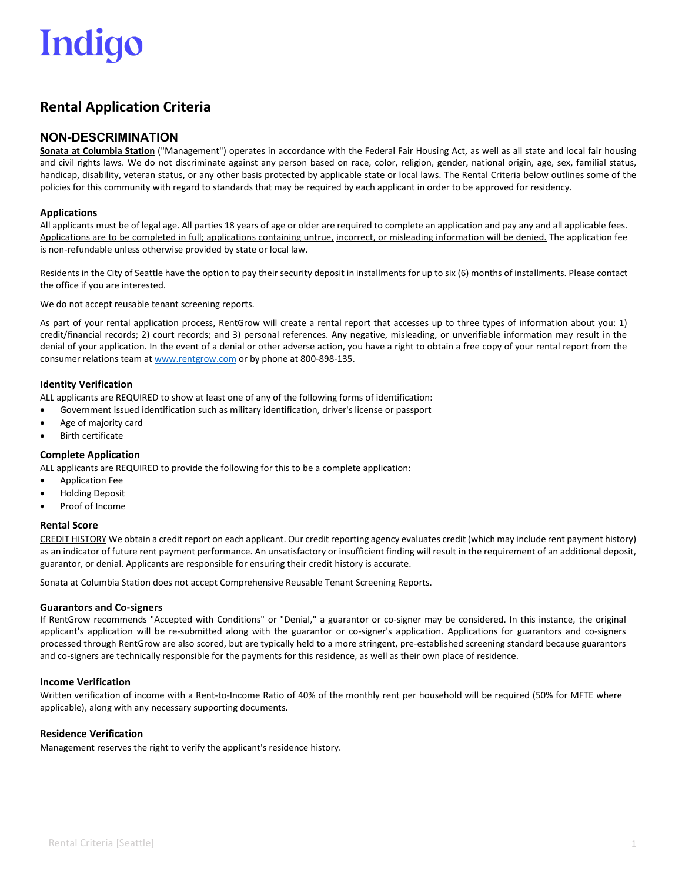# Indigo

## **Rental Application Criteria**

### **NON-DESCRIMINATION**

**Sonata at Columbia Station** ("Management") operates in accordance with the Federal Fair Housing Act, as well as all state and local fair housing and civil rights laws. We do not discriminate against any person based on race, color, religion, gender, national origin, age, sex, familial status, handicap, disability, veteran status, or any other basis protected by applicable state or local laws. The Rental Criteria below outlines some of the policies for this community with regard to standards that may be required by each applicant in order to be approved for residency.

#### **Applications**

All applicants must be of legal age. All parties 18 years of age or older are required to complete an application and pay any and all applicable fees. Applications are to be completed in full; applications containing untrue, incorrect, or misleading information will be denied. The application fee is non-refundable unless otherwise provided by state or local law.

Residents in the City of Seattle have the option to pay their security deposit in installments for up to six (6) months of installments. Please contact the office if you are interested.

We do not accept reusable tenant screening reports.

As part of your rental application process, RentGrow will create a rental report that accesses up to three types of information about you: 1) credit/financial records; 2) court records; and 3) personal references. Any negative, misleading, or unverifiable information may result in the denial of your application. In the event of a denial or other adverse action, you have a right to obtain a free copy of your rental report from the consumer relations team at [www.rentgrow.com](http://www.rentgrow.com/) or by phone at 800-898-135.

#### **Identity Verification**

ALL applicants are REQUIRED to show at least one of any of the following forms of identification:

- Government issued identification such as military identification, driver's license or passport
- Age of majority card
- **Birth certificate**

#### **Complete Application**

ALL applicants are REQUIRED to provide the following for this to be a complete application:

- Application Fee
- Holding Deposit
- Proof of Income

#### **Rental Score**

CREDIT HISTORY We obtain a credit report on each applicant. Our credit reporting agency evaluates credit (which may include rent payment history) as an indicator of future rent payment performance. An unsatisfactory or insufficient finding will result in the requirement of an additional deposit, guarantor, or denial. Applicants are responsible for ensuring their credit history is accurate.

Sonata at Columbia Station does not accept Comprehensive Reusable Tenant Screening Reports.

#### **Guarantors and Co-signers**

If RentGrow recommends "Accepted with Conditions" or "Denial," a guarantor or co-signer may be considered. In this instance, the original applicant's application will be re-submitted along with the guarantor or co-signer's application. Applications for guarantors and co-signers processed through RentGrow are also scored, but are typically held to a more stringent, pre-established screening standard because guarantors and co-signers are technically responsible for the payments for this residence, as well as their own place of residence.

#### **Income Verification**

Written verification of income with a Rent-to-Income Ratio of 40% of the monthly rent per household will be required (50% for MFTE where applicable), along with any necessary supporting documents.

#### **Residence Verification**

Management reserves the right to verify the applicant's residence history.